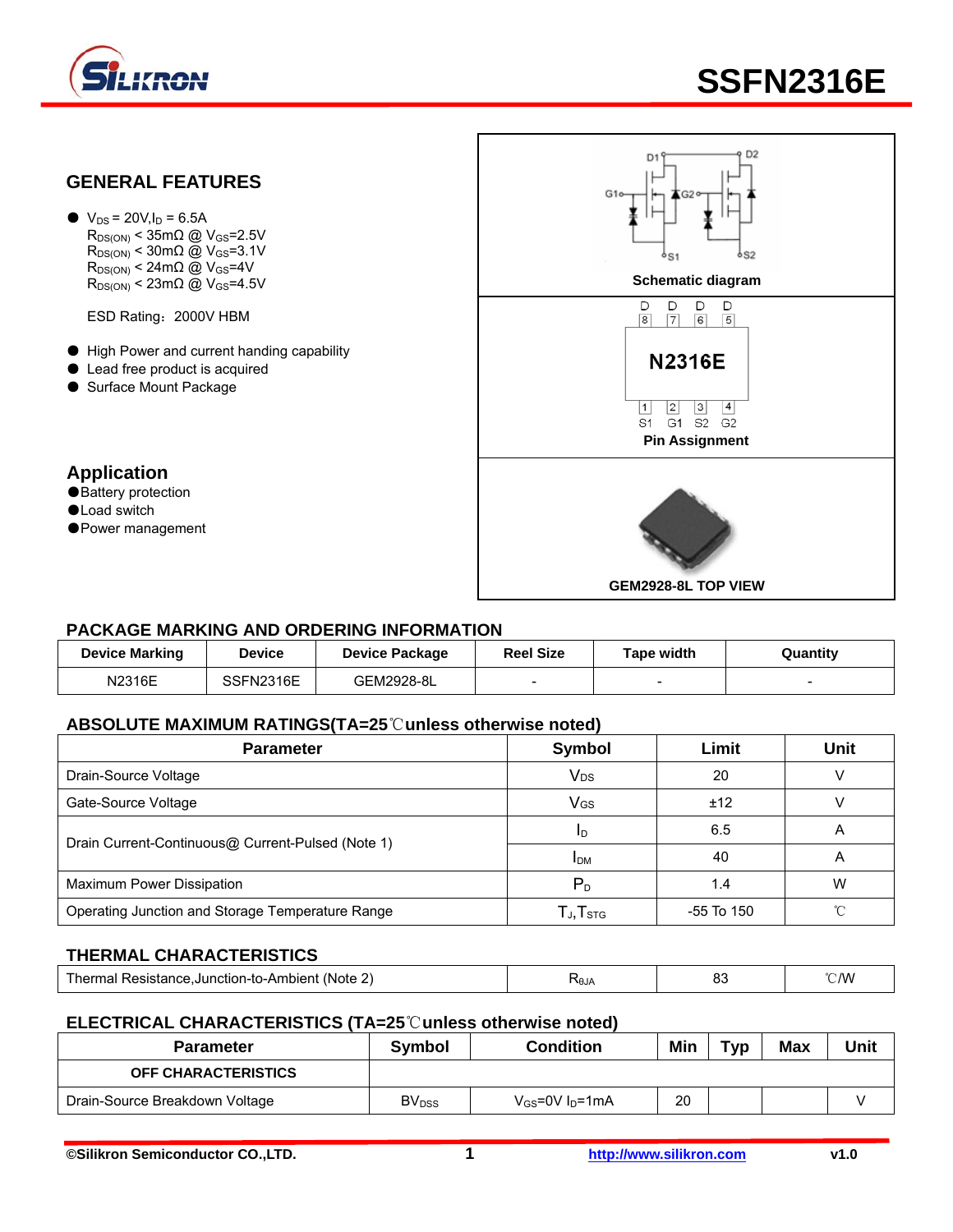

# **SSFN2316E**



 $\bullet$  V<sub>DS</sub> = 20V, I<sub>D</sub> = 6.5A  $R_{DS(ON)}$  < 35m $\Omega$  @ V<sub>GS</sub>=2.5V  $R_{DS(ON)}$  < 30m $\Omega$  @ V<sub>GS</sub>=3.1V  $R_{DS(ON)}$  < 24m $\Omega$  @ V<sub>GS</sub>=4V

ESD Rating:2000V HBM

- High Power and current handing capability
- Lead free product is acquired
- Surface Mount Package

#### **Application**

- ●Battery protection
- ●Load switch
- ●Power management



#### **PACKAGE MARKING AND ORDERING INFORMATION**

| <b>Device Marking</b> | <b>Device</b> | <b>Device Package</b> | <b>Reel Size</b>         | Tape width               | Quantity |
|-----------------------|---------------|-----------------------|--------------------------|--------------------------|----------|
| N2316E                | SSFN2316E     | GEM2928-8L            | $\overline{\phantom{0}}$ | $\overline{\phantom{0}}$ | -        |

#### **ABSOLUTE MAXIMUM RATINGS(TA=25**℃**unless otherwise noted)**

| <b>Parameter</b>                                  | Symbol                                               | Limit      | <b>Unit</b> |  |  |
|---------------------------------------------------|------------------------------------------------------|------------|-------------|--|--|
| Drain-Source Voltage                              | <b>V<sub>DS</sub></b>                                | 20         |             |  |  |
| Gate-Source Voltage                               | V <sub>GS</sub>                                      | ±12        |             |  |  |
|                                                   | -l D                                                 | 6.5        | A           |  |  |
| Drain Current-Continuous@ Current-Pulsed (Note 1) | 40<br>А<br><b>IDM</b>                                |            |             |  |  |
| Maximum Power Dissipation                         | $P_{\rm D}$                                          | 1.4        | W           |  |  |
| Operating Junction and Storage Temperature Range  | $\mathsf{T}_{\mathsf{J}}, \mathsf{T}_{\mathsf{STG}}$ | -55 To 150 |             |  |  |

#### **THERMAL CHARACTERISTICS**

| $\overline{\phantom{a}}$<br>Note .<br>'her<br>e.Junction-to-Ambient_<br>Resistance.<br>יומי<br>шаг | RθJ, | n,<br>ິ<br>$ -$ | C/W |
|----------------------------------------------------------------------------------------------------|------|-----------------|-----|
|----------------------------------------------------------------------------------------------------|------|-----------------|-----|

#### **ELECTRICAL CHARACTERISTICS (TA=25**℃**unless otherwise noted)**

| <b>Parameter</b>               | Svmbol                   | <b>Condition</b>        | Min | Тур | <b>Max</b> | Unit |
|--------------------------------|--------------------------|-------------------------|-----|-----|------------|------|
| <b>OFF CHARACTERISTICS</b>     |                          |                         |     |     |            |      |
| Drain-Source Breakdown Voltage | <b>BV</b> <sub>DSS</sub> | $V_{GS}$ =0V $I_D$ =1mA | 20  |     |            |      |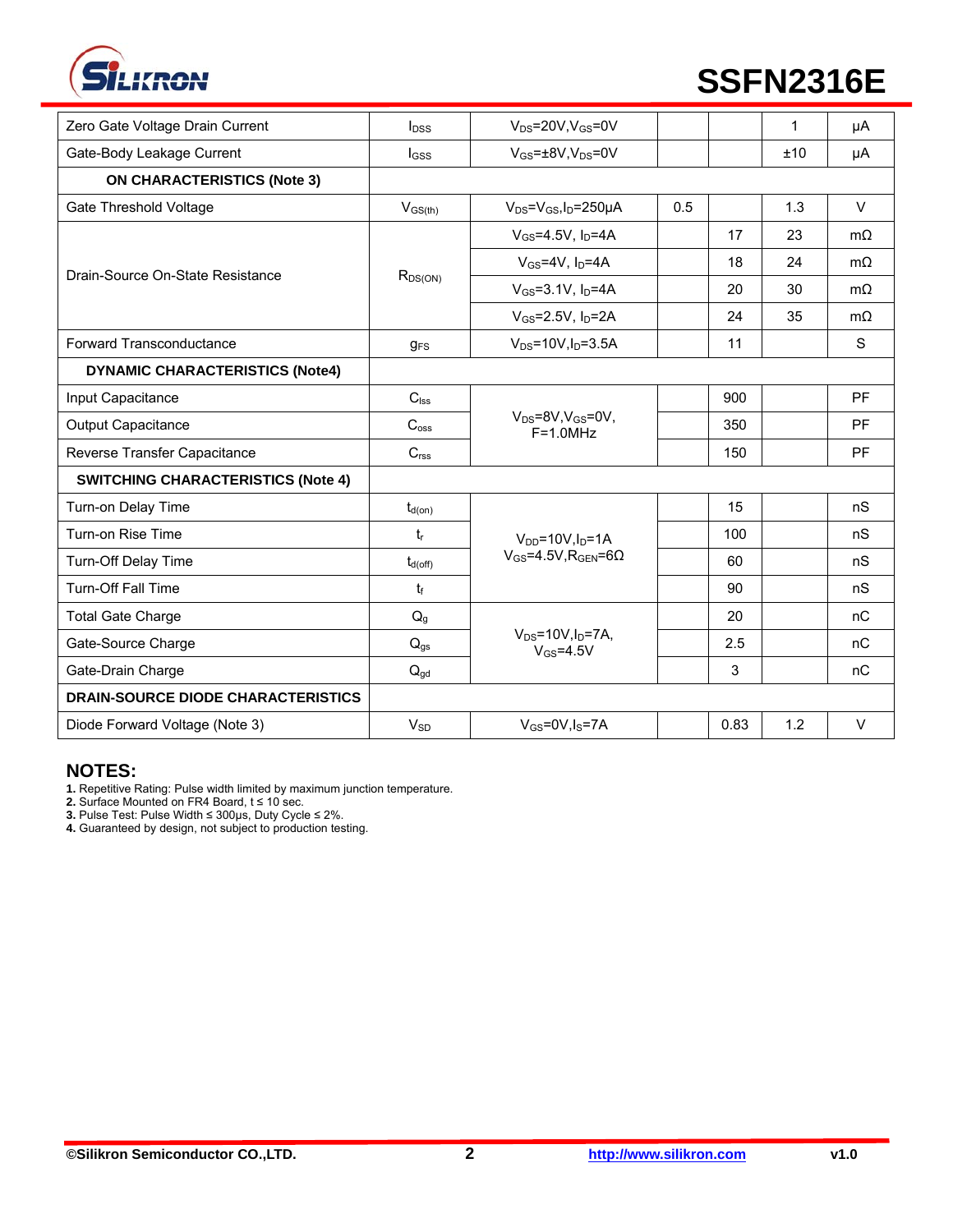

# **SSFN2316E**

| Zero Gate Voltage Drain Current           | $I_{DSS}$             | $V_{DS}$ =20V, $V_{GS}$ =0V                      |     |      | $\mathbf 1$ | μA        |
|-------------------------------------------|-----------------------|--------------------------------------------------|-----|------|-------------|-----------|
| Gate-Body Leakage Current                 | $I_{GSS}$             | $V_{GS} = \pm 8V$ , $V_{DS} = 0V$                |     |      | ±10         | μA        |
| <b>ON CHARACTERISTICS (Note 3)</b>        |                       |                                                  |     |      |             |           |
| Gate Threshold Voltage                    | $V_{GS(th)}$          | $V_{DS} = V_{GS}I_D = 250 \mu A$                 | 0.5 |      | 1.3         | $\vee$    |
| Drain-Source On-State Resistance          | $R_{DS(ON)}$          | $V_{GS} = 4.5V$ , $I_D = 4A$                     |     | 17   | 23          | $m\Omega$ |
|                                           |                       | $V_{GS}$ =4V, $I_D$ =4A                          |     | 18   | 24          | $m\Omega$ |
|                                           |                       | $V_{GS} = 3.1V, I_D = 4A$                        |     | 20   | 30          | $m\Omega$ |
|                                           |                       | $V_{GS} = 2.5V, I_D = 2A$                        |     | 24   | 35          | $m\Omega$ |
| Forward Transconductance                  | <b>g<sub>FS</sub></b> | $V_{DS} = 10V, I_D = 3.5A$                       |     | 11   |             | S         |
| <b>DYNAMIC CHARACTERISTICS (Note4)</b>    |                       |                                                  |     |      |             |           |
| Input Capacitance                         | $C_{\text{lss}}$      |                                                  |     | 900  |             | <b>PF</b> |
| <b>Output Capacitance</b>                 | C <sub>oss</sub>      | $V_{DS} = 8V$ , $V_{GS} = 0V$ ,<br>$F = 1.0 MHz$ |     | 350  |             | <b>PF</b> |
| Reverse Transfer Capacitance              | C <sub>rss</sub>      |                                                  |     | 150  |             | <b>PF</b> |
| <b>SWITCHING CHARACTERISTICS (Note 4)</b> |                       |                                                  |     |      |             |           |
| Turn-on Delay Time                        | $t_{d(on)}$           |                                                  |     | 15   |             | nS        |
| Turn-on Rise Time                         | $t_{r}$               | $V_{DD} = 10V, I_D = 1A$                         |     | 100  |             | nS        |
| Turn-Off Delay Time                       | $t_{d(off)}$          | $V_{GS} = 4.5V$ , R <sub>GEN</sub> =60           |     | 60   |             | nS        |
| Turn-Off Fall Time                        | tf                    |                                                  |     | 90   |             | nS        |
| <b>Total Gate Charge</b>                  | $Q_{q}$               |                                                  |     | 20   |             | nC        |
| Gate-Source Charge                        | $Q_{gs}$              | $V_{DS} = 10V$ , $I_D = 7A$ ,<br>$V_{GS} = 4.5V$ |     | 2.5  |             | nC        |
| Gate-Drain Charge                         | $Q_{gd}$              |                                                  |     | 3    |             | nC        |
| <b>DRAIN-SOURCE DIODE CHARACTERISTICS</b> |                       |                                                  |     |      |             |           |
| Diode Forward Voltage (Note 3)            | $V_{SD}$              | $V_{GS} = 0V, I_S = 7A$                          |     | 0.83 | 1.2         | $\vee$    |

#### **NOTES:**

**1.** Repetitive Rating: Pulse width limited by maximum junction temperature.

**2.** Surface Mounted on FR4 Board, t ≤ 10 sec.

**3.** Pulse Test: Pulse Width ≤ 300μs, Duty Cycle ≤ 2%.

**4.** Guaranteed by design, not subject to production testing.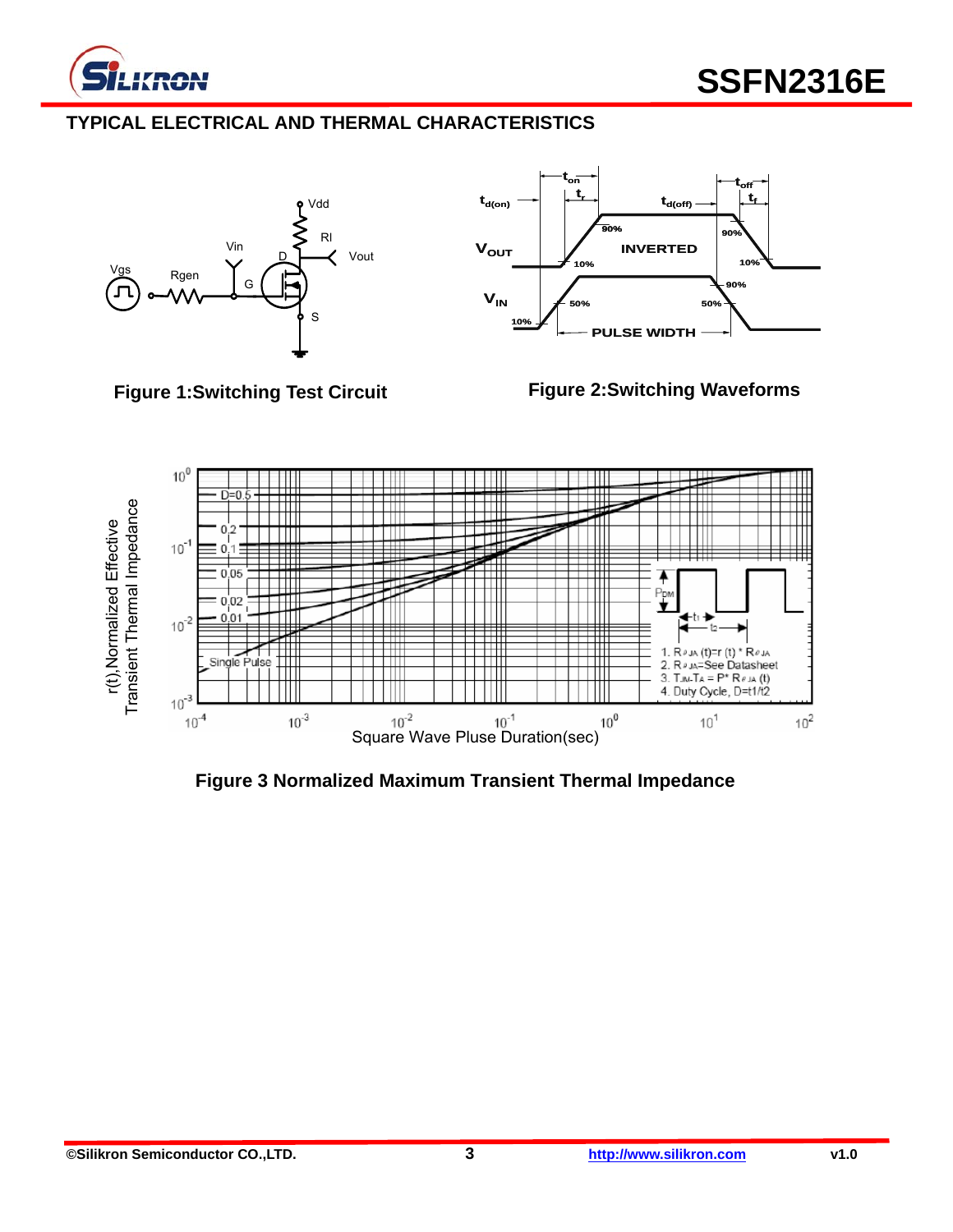

# **TYPICAL ELECTRICAL AND THERMAL CHARACTERISTICS**





### **Figure 1:Switching Test Circuit**

**Figure 2:Switching Waveforms** 



**Figure 3 Normalized Maximum Transient Thermal Impedance**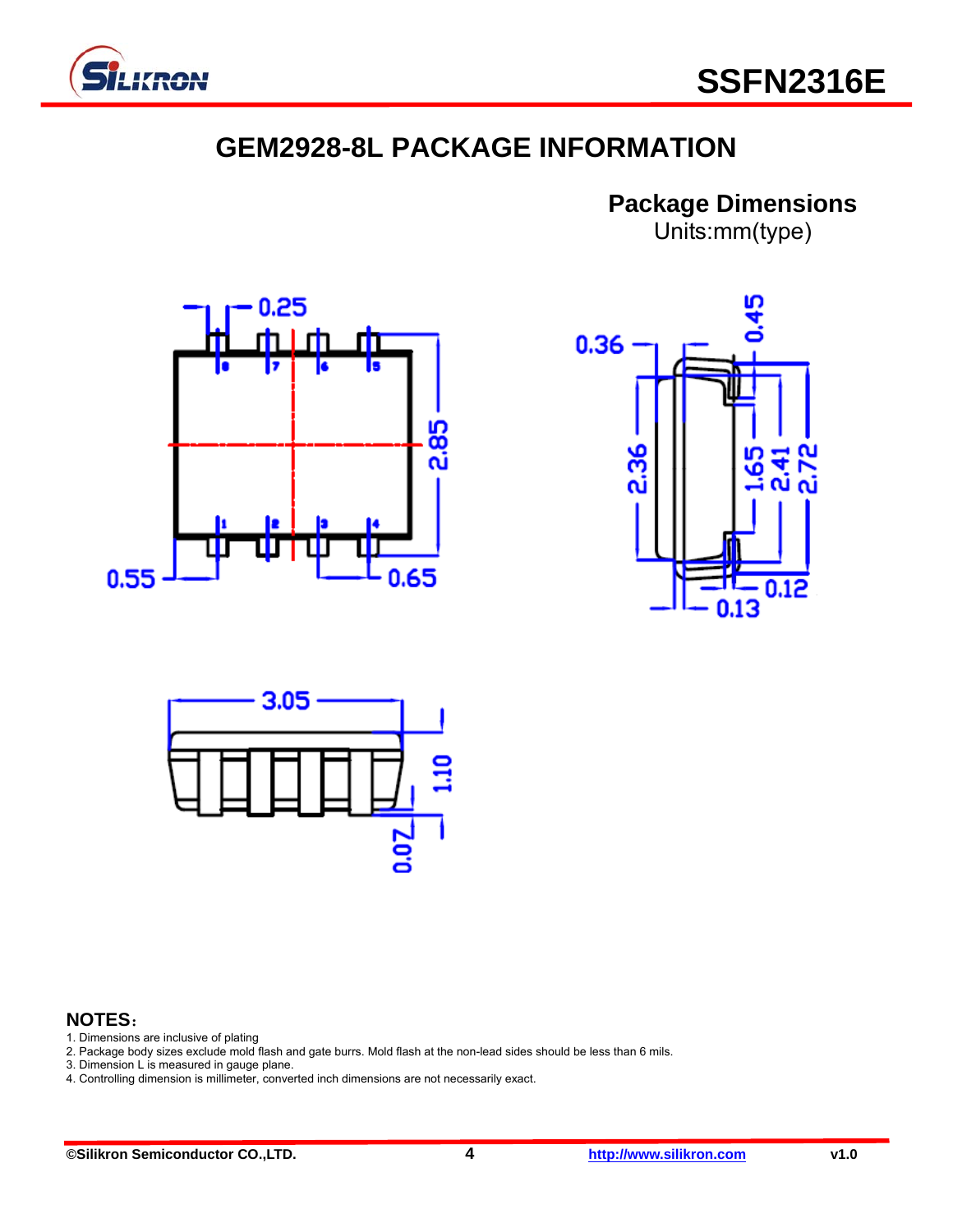

# **GEM2928-8L PACKAGE INFORMATION**

**Package Dimensions**  Units:mm(type)







### **NOTES**:

- 1. Dimensions are inclusive of plating
- 2. Package body sizes exclude mold flash and gate burrs. Mold flash at the non-lead sides should be less than 6 mils.
- 3. Dimension L is measured in gauge plane.
- 4. Controlling dimension is millimeter, converted inch dimensions are not necessarily exact.